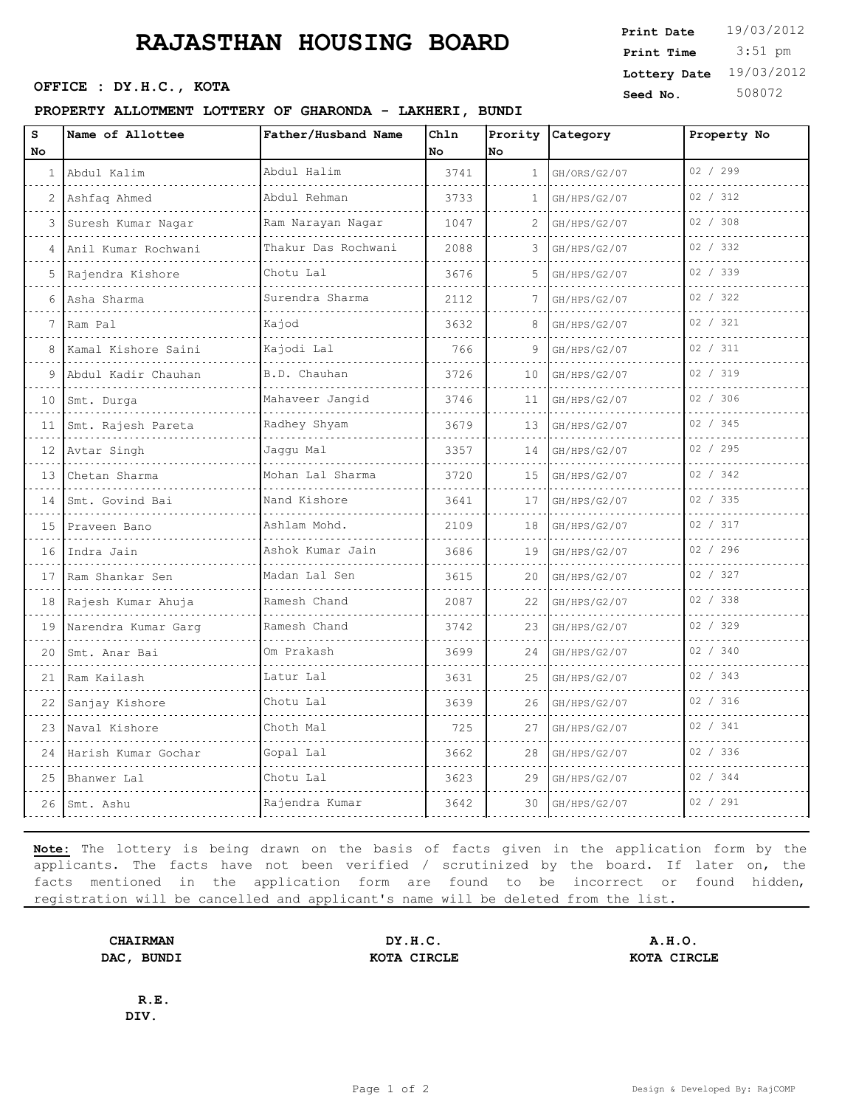# **RAJASTHAN HOUSING BOARD**

#### **PROPERTY ALLOTMENT LOTTERY OF GHARONDA - LAKHERI, BUNDI**

| S  | Name of Allottee        | Father/Husband Name    | Chln |    | Prority Category | Property No |
|----|-------------------------|------------------------|------|----|------------------|-------------|
| No |                         |                        | No   | No |                  | 02 / 299    |
| 1  | Abdul Kalim             | Abdul Halim            | 3741 | 1  | GH/ORS/G2/07     |             |
| 2  | Ashfaq Ahmed            | Abdul Rehman           | 3733 | 1. | GH/HPS/G2/07     | 02 / 312    |
| 3  | Suresh Kumar Nagar      | Ram Narayan Nagar<br>. | 1047 |    | GH/HPS/G2/07     | 02 / 308    |
|    | Anil Kumar Rochwani     | Thakur Das Rochwani    | 2088 | 3  | GH/HPS/G2/07     | 02 / 332    |
| 5  | Rajendra Kishore        | Chotu Lal              | 3676 | 5  | GH/HPS/G2/07     | 02 / 339    |
| 6  | Asha Sharma             | Surendra Sharma        | 2112 |    | GH/HPS/G2/07     | 02 / 322    |
|    | Ram Pal                 | Kajod                  | 3632 | 8  | GH/HPS/G2/07     | 02 / 321    |
| 8  | Kamal Kishore Saini     | Kajodi Lal             | 766  | 9  | GH/HPS/G2/07     | 02 / 311    |
| 9  | Abdul Kadir Chauhan     | B.D. Chauhan           | 3726 | 10 | GH/HPS/G2/07     | 02 / 319    |
|    | 10 Smt. Durga           | Mahaveer Jangid        | 3746 | 11 | GH/HPS/G2/07     | 02 / 306    |
| 11 | Smt. Rajesh Pareta      | Radhey Shyam           | 3679 | 13 | GH/HPS/G2/07     | 02 / 345    |
| 12 | Avtar Singh             | Jaggu Mal              | 3357 | 14 | GH/HPS/G2/07     | 02 / 295    |
| 13 | Chetan Sharma           | Mohan Lal Sharma       | 3720 | 15 | GH/HPS/G2/07     | 02 / 342    |
| 14 | Smt. Govind Bai         | Nand Kishore           | 3641 | 17 | GH/HPS/G2/07     | 02 / 335    |
|    | 15 Praveen Bano         | Ashlam Mohd.           | 2109 | 18 | GH/HPS/G2/07     | 02 / 317    |
| 16 | Indra Jain              | Ashok Kumar Jain       | 3686 | 19 | GH/HPS/G2/07     | 02 / 296    |
| 17 | Ram Shankar Sen         | Madan Lal Sen          | 3615 | 20 | GH/HPS/G2/07     | 02 / 327    |
| 18 | Rajesh Kumar Ahuja<br>. | Ramesh Chand<br>.      | 2087 | 22 | GH/HPS/G2/07     | 02 / 338    |
| 19 | Narendra Kumar Garg     | Ramesh Chand           | 3742 | 23 | GH/HPS/G2/07     | 02 / 329    |
| 20 | Smt. Anar Bai           | Om Prakash             | 3699 | 24 | GH/HPS/G2/07     | 02 / 340    |
| 21 | Ram Kailash             | Latur Lal              | 3631 | 25 | GH/HPS/G2/07     | 02 / 343    |
| 22 | Sanjay Kishore          | Chotu Lal              | 3639 | 26 | GH/HPS/G2/07     | 02 / 316    |
| 23 | Naval Kishore           | Choth Mal              | 725  | 27 | GH/HPS/G2/07     | 02 / 341    |
|    | 24 Harish Kumar Gochar  | Gopal Lal              | 3662 | 28 | GH/HPS/G2/07     | 02 / 336    |
| 25 | Bhanwer Lal             | Chotu Lal              | 3623 | 29 | GH/HPS/G2/07     | 02 / 344    |
|    | 26 Smt. Ashu            | Rajendra Kumar         | 3642 | 30 | GH/HPS/G2/07     | 02 / 291    |
|    |                         |                        |      |    |                  |             |

**Note:** The lottery is being drawn on the basis of facts given in the application form by the applicants. The facts have not been verified / scrutinized by the board. If later on, the facts mentioned in the application form are found to be incorrect or found hidden, registration will be cancelled and applicant's name will be deleted from the list.

**CHAIRMAN DY.H.C. A.H.O. DAC, BUNDI KOTA CIRCLE KOTA CIRCLE**

**R.E. DIV.**